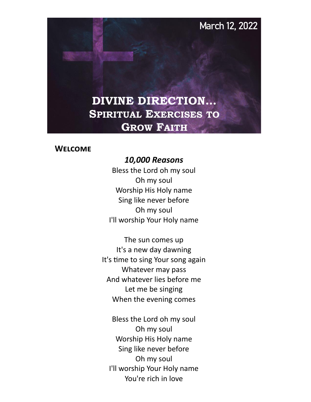**March 12, 2022**

## **DIVINE DIRECTION… SPIRITUAL EXERCISES TO GROW FAITH**

#### **Welcome**

## *10,000 Reasons*

Bless the Lord oh my soul Oh my soul Worship His Holy name Sing like never before Oh my soul I'll worship Your Holy name

The sun comes up It's a new day dawning It's time to sing Your song again Whatever may pass And whatever lies before me Let me be singing When the evening comes

Bless the Lord oh my soul Oh my soul Worship His Holy name Sing like never before Oh my soul I'll worship Your Holy name You're rich in love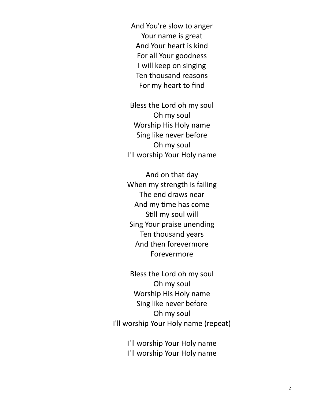And You're slow to anger Your name is great And Your heart is kind For all Your goodness I will keep on singing Ten thousand reasons For my heart to find

Bless the Lord oh my soul Oh my soul Worship His Holy name Sing like never before Oh my soul I'll worship Your Holy name

And on that day When my strength is failing The end draws near And my time has come Still my soul will Sing Your praise unending Ten thousand years And then forevermore Forevermore

Bless the Lord oh my soul Oh my soul Worship His Holy name Sing like never before Oh my soul I'll worship Your Holy name (repeat)

> I'll worship Your Holy name I'll worship Your Holy name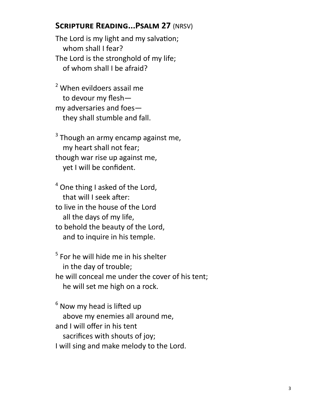## **Scripture Reading...Psalm 27** (NRSV)

The Lord is my light and my salvation; whom shall I fear? The Lord is the stronghold of my life; of whom shall I be afraid?

<sup>2</sup> When evildoers assail me to devour my flesh my adversaries and foes they shall stumble and fall.

 $3$  Though an army encamp against me, my heart shall not fear; though war rise up against me, yet I will be confident.

 $4$  One thing I asked of the Lord, that will I seek after: to live in the house of the Lord all the days of my life, to behold the beauty of the Lord, and to inquire in his temple.

<sup>5</sup> For he will hide me in his shelter in the day of trouble; he will conceal me under the cover of his tent; he will set me high on a rock.

 $6$  Now my head is lifted up above my enemies all around me, and I will offer in his tent sacrifices with shouts of joy; I will sing and make melody to the Lord.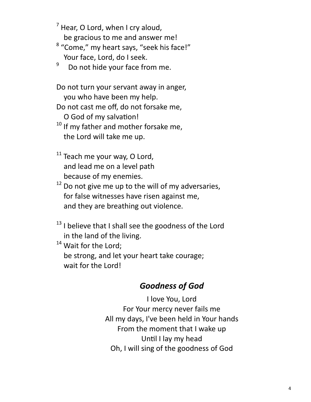$<sup>7</sup>$  Hear, O Lord, when I cry aloud,</sup>

- be gracious to me and answer me!
- <sup>8</sup> "Come," my heart says, "seek his face!" Your face, Lord, do I seek. 9
	- Do not hide your face from me.

Do not turn your servant away in anger, you who have been my help.

Do not cast me off, do not forsake me,

O God of my salvation!

- $10$  If my father and mother forsake me, the Lord will take me up.
- $11$  Teach me your way, O Lord, and lead me on a level path because of my enemies.
- $12$  Do not give me up to the will of my adversaries, for false witnesses have risen against me, and they are breathing out violence.
- $13$  I believe that I shall see the goodness of the Lord in the land of the living.

<sup>14</sup> Wait for the Lord; be strong, and let your heart take courage; wait for the Lord!

## *Goodness of God*

I love You, Lord For Your mercy never fails me All my days, I've been held in Your hands From the moment that I wake up Until I lay my head Oh, I will sing of the goodness of God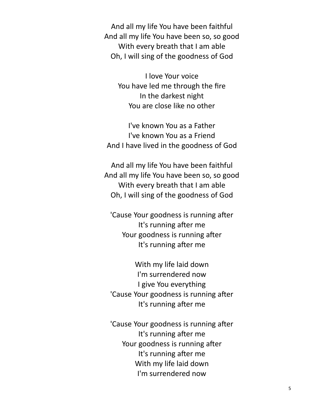And all my life You have been faithful And all my life You have been so, so good With every breath that I am able Oh, I will sing of the goodness of God

> I love Your voice You have led me through the fire In the darkest night You are close like no other

I've known You as a Father I've known You as a Friend And I have lived in the goodness of God

And all my life You have been faithful And all my life You have been so, so good With every breath that I am able Oh, I will sing of the goodness of God

'Cause Your goodness is running after It's running after me Your goodness is running after It's running after me

With my life laid down I'm surrendered now I give You everything 'Cause Your goodness is running after It's running after me

'Cause Your goodness is running after It's running after me Your goodness is running after It's running after me With my life laid down I'm surrendered now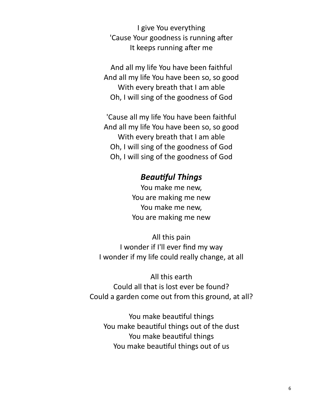I give You everything 'Cause Your goodness is running after It keeps running after me

And all my life You have been faithful And all my life You have been so, so good With every breath that I am able Oh, I will sing of the goodness of God

'Cause all my life You have been faithful And all my life You have been so, so good With every breath that I am able Oh, I will sing of the goodness of God Oh, I will sing of the goodness of God

#### *Beautiful Things*

You make me new, You are making me new You make me new, You are making me new

All this pain I wonder if I'll ever find my way I wonder if my life could really change, at all

All this earth Could all that is lost ever be found? Could a garden come out from this ground, at all?

You make beautiful things You make beautiful things out of the dust You make beautiful things You make beautiful things out of us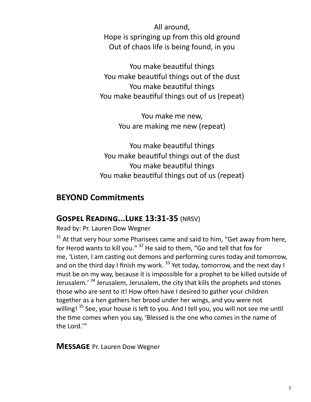All around, Hope is springing up from this old ground Out of chaos life is being found, in you

You make beautiful things You make beautiful things out of the dust You make beautiful things You make beautiful things out of us (repeat)

> You make me new, You are making me new (repeat)

You make beautiful things You make beautiful things out of the dust You make beautiful things You make beautiful things out of us (repeat)

## **BEYOND Commitments**

## **Gospel Reading...Luke 13:31-35** (NRSV)

Read by: Pr. Lauren Dow Wegner

 $31$  At that very hour some Pharisees came and said to him, "Get away from here, for Herod wants to kill you." <sup>32</sup> He said to them, "Go and tell that fox for me, 'Listen, I am casting out demons and performing cures today and tomorrow, and on the third day I finish my work.  $33$  Yet today, tomorrow, and the next day I must be on my way, because it is impossible for a prophet to be killed outside of Jerusalem.' <sup>34</sup> Jerusalem, Jerusalem, the city that kills the prophets and stones those who are sent to it! How often have I desired to gather your children together as a hen gathers her brood under her wings, and you were not willing! <sup>35</sup> See, your house is left to you. And I tell you, you will not see me until the time comes when you say, 'Blessed is the one who comes in the name of the Lord.'"

**Message** Pr. Lauren Dow Wegner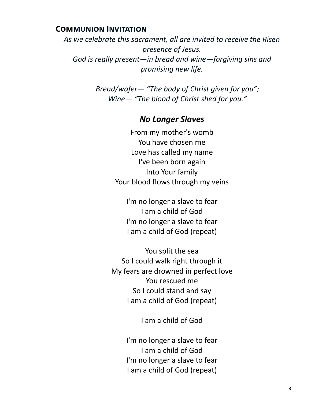#### **Communion Invitation**

*As we celebrate this sacrament, all are invited to receive the Risen presence of Jesus. God is really present—in bread and wine—forgiving sins and promising new life.* 

> *Bread/wafer— "The body of Christ given for you"; Wine— "The blood of Christ shed for you."*

#### *No Longer Slaves*

From my mother's womb You have chosen me Love has called my name I've been born again Into Your family Your blood flows through my veins

I'm no longer a slave to fear I am a child of God I'm no longer a slave to fear I am a child of God (repeat)

You split the sea So I could walk right through it My fears are drowned in perfect love You rescued me So I could stand and say I am a child of God (repeat)

I am a child of God

I'm no longer a slave to fear I am a child of God I'm no longer a slave to fear I am a child of God (repeat)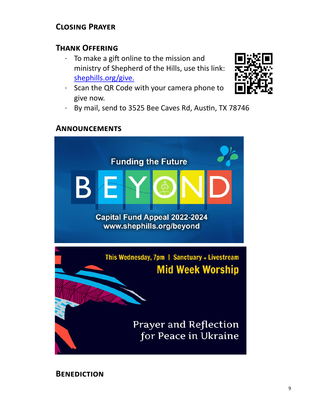## **Closing Prayer**

## **Thank Offering**

- $\cdot$  To make a gift online to the mission and ministry of Shepherd of the Hills, use this link: [shephills.org/give.](https://shephills.org/give/)
- · Scan the QR Code with your camera phone to give now.



· By mail, send to 3525 Bee Caves Rd, Austin, TX 78746

#### **Announcements**



**Benediction**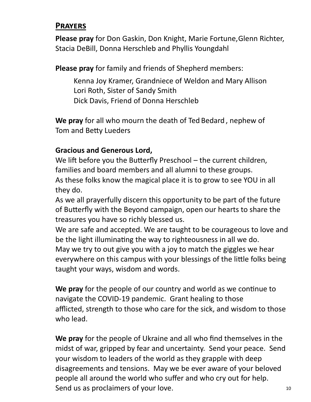## **Prayers**

**Please pray** for Don Gaskin, Don Knight, Marie Fortune,Glenn Richter, Stacia DeBill, Donna Herschleb and Phyllis Youngdahl

**Please pray** for family and friends of Shepherd members:

Kenna Joy Kramer, Grandniece of Weldon and Mary Allison Lori Roth, Sister of Sandy Smith Dick Davis, Friend of Donna Herschleb

**We pray** for all who mourn the death of Ted Bedard , nephew of Tom and Betty Lueders

## **Gracious and Generous Lord,**

We lift before you the Butterfly Preschool – the current children, families and board members and all alumni to these groups. As these folks know the magical place it is to grow to see YOU in all they do.

As we all prayerfully discern this opportunity to be part of the future of Butterfly with the Beyond campaign, open our hearts to share the treasures you have so richly blessed us.

We are safe and accepted. We are taught to be courageous to love and be the light illuminating the way to righteousness in all we do. May we try to out give you with a joy to match the giggles we hear everywhere on this campus with your blessings of the little folks being taught your ways, wisdom and words.

**We pray** for the people of our country and world as we continue to navigate the COVID-19 pandemic. Grant healing to those afflicted, strength to those who care for the sick, and wisdom to those who lead.

**We pray** for the people of Ukraine and all who find themselves in the midst of war, gripped by fear and uncertainty. Send your peace. Send your wisdom to leaders of the world as they grapple with deep disagreements and tensions. May we be ever aware of your beloved people all around the world who suffer and who cry out for help. Send us as proclaimers of your love.